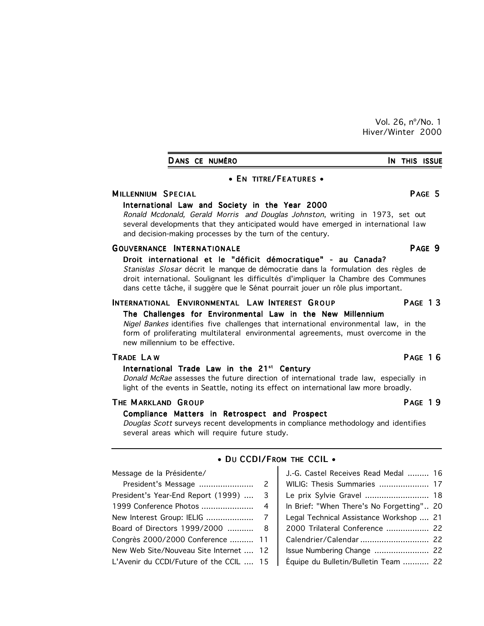Vol. 26, nº/No. 1 Hiver/Winter 2000

| DANS CE NUMÉRO |  | IN THIS ISSUE |
|----------------|--|---------------|
|                |  |               |

## • EN TITRE/FEATURES •

## M ILLENNIUM SPECIAL **EXECUTE EXECUTE EXECUTE EXECUTE EXECUTE EXECUTE EXECUTE EXECUTE EXECUTE EXECUTE EXECUTE E**

## International Law and Society in the Year 2000

Ronald Mcdonald, Gerald Morris and Douglas Johnston, writing in 1973, set out several developments that they anticipated would have emerged in international law and decision-making processes by the turn of the century.

## GOUVERNANCE INTERNATIONALE **A CONSERVANCE IN TEXAS AND A TION A** CONSERVANCE PAGE 9

## Droit international et le "déficit démocratique" - au Canada?

Stanislas Slosar décrit le manque de démocratie dans la formulation des règles de droit international. Soulignant les difficultés d'impliquer la Chambre des Communes dans cette tâche, il suggère que le Sénat pourrait jouer un rôle plus important.

## INTERNATIONAL ENVIRONMENTAL LAW INTEREST GROUP PAGE 13

## The Challenges for Environmental Law in the New Millennium

Nigel Bankes identifies five challenges that international environmental law, in the form of proliferating multilateral environmental agreements, must overcome in the new millennium to be effective.

## International Trade Law in the  $21^{st}$  Century

Donald McRae assesses the future direction of international trade law, especially in light of the events in Seattle, noting its effect on international law more broadly.

## THE MARKLAND GROUP **THE MARKLAND** STRUCK **PAGE 19**

## Compliance Matters in Retrospect and Prospect

Douglas Scott surveys recent developments in compliance methodology and identifies several areas which will require future study.

| Message de la Présidente/               | J.-G. Castel Receives Read Medal  16      |  |
|-----------------------------------------|-------------------------------------------|--|
|                                         | WILIG: Thesis Summaries  17               |  |
| President's Year-End Report (1999)  3   | Le prix Sylvie Gravel  18                 |  |
|                                         | In Brief: "When There's No Forgetting" 20 |  |
|                                         | Legal Technical Assistance Workshop  21   |  |
| Board of Directors 1999/2000  8         | 2000 Trilateral Conference  22            |  |
| Congrès 2000/2000 Conference  11        | Calendrier/Calendar  22                   |  |
| New Web Site/Nouveau Site Internet  12  |                                           |  |
| L'Avenir du CCDI/Future of the CCIL  15 | Équipe du Bulletin/Bulletin Team  22      |  |

## $\bullet$  DU CCDI/FROM THE CCIL  $\bullet$

## TRADE LAW PAGE 16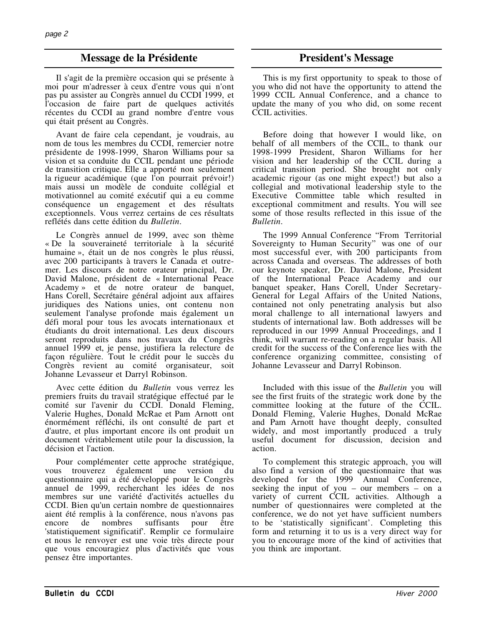# **Message de la Présidente President's Message**

Il s'agit de la première occasion qui se présente à moi pour m'adresser à ceux d'entre vous qui n'ont pas pu assister au Congrès annuel du CCDI 1999, et l'occasion de faire part de quelques activités récentes du CCDI au grand nombre d'entre vous qui était présent au Congrès.

Avant de faire cela cependant, je voudrais, au nom de tous les membres du CCDI, remercier notre présidente de 1998-1999, Sharon Williams pour sa vision et sa conduite du CCIL pendant une période de transition critique. Elle a apporté non seulement la rigueur académique (que l'on pourrait prévoir!) mais aussi un modèle de conduite collégial et motivationnel au comité exécutif qui a eu comme conséquence un engagement et des résultats exceptionnels. Vous verrez certains de ces résultats reflétés dans cette édition du *Bulletin*.

Le Congrès annuel de 1999, avec son thème « De la souveraineté territoriale à la sécurité humaine », était un de nos congrès le plus réussi, avec 200 participants à travers le Canada et outremer. Les discours de notre orateur principal, Dr. David Malone, président de « International Peace Academy » et de notre orateur de banquet, Hans Corell, Secrétaire général adjoint aux affaires juridiques des Nations unies, ont contenu non seulement l'analyse profonde mais également un défi moral pour tous les avocats internationaux et étudiants du droit international. Les deux discours seront reproduits dans nos travaux du Congrès annuel 1999 et, je pense, justifiera la relecture de façon régulière. Tout le crédit pour le succès du Congrès revient au comité organisateur, soit Johanne Levasseur et Darryl Robinson.

Avec cette édition du *Bulletin* vous verrez les premiers fruits du travail stratégique effectué par le comité sur l'avenir du CCDI. Donald Fleming, Valerie Hughes, Donald McRae et Pam Arnott ont énormément réfléchi, ils ont consulté de part et d'autre, et plus important encore ils ont produit un document véritablement utile pour la discussion, la décision et l'action.

Pour complémenter cette approche stratégique, vous trouverez également une version du questionnaire qui a été développé pour le Congrès annuel de 1999, recherchant les idées de nos membres sur une variété d'activités actuelles du CCDI. Bien qu'un certain nombre de questionnaires aient été remplis à la conférence, nous n'avons pas de nombres suffisants pour être 'statistiquement significatif'. Remplir ce formulaire et nous le renvoyer est une voie très directe pour que vous encouragiez plus d'activités que vous pensez être importantes.

This is my first opportunity to speak to those of you who did not have the opportunity to attend the 1999 CCIL Annual Conference, and a chance to update the many of you who did, on some recent CCIL activities.

Before doing that however I would like, on behalf of all members of the CCIL, to thank our 1998-1999 President, Sharon Williams for her vision and her leadership of the CCIL during a critical transition period. She brought not only academic rigour (as one might expect!) but also a collegial and motivational leadership style to the Executive Committee table which resulted in exceptional commitment and results. You will see some of those results reflected in this issue of the *Bulletin*.

The 1999 Annual Conference "From Territorial Sovereignty to Human Security" was one of our most successful ever, with 200 participants from across Canada and overseas. The addresses of both our keynote speaker, Dr. David Malone, President of the International Peace Academy and our banquet speaker, Hans Corell, Under Secretary-General for Legal Affairs of the United Nations, contained not only penetrating analysis but also moral challenge to all international lawyers and students of international law. Both addresses will be reproduced in our 1999 Annual Proceedings, and I think, will warrant re-reading on a regular basis. All credit for the success of the Conference lies with the conference organizing committee, consisting of Johanne Levasseur and Darryl Robinson.

Included with this issue of the *Bulletin* you will see the first fruits of the strategic work done by the committee looking at the future of the CCIL. Donald Fleming, Valerie Hughes, Donald McRae and Pam Arnott have thought deeply, consulted widely, and most importantly produced a truly useful document for discussion, decision and action.

To complement this strategic approach, you will also find a version of the questionnaire that was developed for the 1999 Annual Conference, seeking the input of you – our members – on a variety of current CCIL activities. Although a number of questionnaires were completed at the conference, we do not yet have sufficient numbers to be 'statistically significant'. Completing this form and returning it to us is a very direct way for you to encourage more of the kind of activities that you think are important.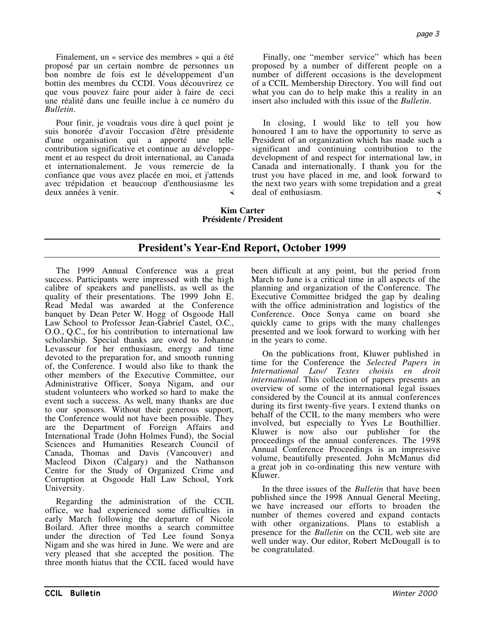Finalement, un « service des membres » qui a été proposé par un certain nombre de personnes un bon nombre de fois est le développement d'un bottin des membres du CCDI. Vous découvrirez ce que vous pouvez faire pour aider à faire de ceci une réalité dans une feuille inclue à ce numéro du *Bulletin*.

Pour finir, je voudrais vous dire à quel point je suis honorée d'avoir l'occasion d'être présidente d'une organisation qui a apporté une telle contribution significative et continue au développement et au respect du droit international, au Canada et internationalement. Je vous remercie de la confiance que vous avez placée en moi, et j'attends avec trépidation et beaucoup d'enthousiasme les deux années à venir.

Finally, one "member service" which has been proposed by a number of different people on a number of different occasions is the development of a CCIL Membership Directory. You will find out what you can do to help make this a reality in an insert also included with this issue of the *Bulletin*.

In closing, I would like to tell you how honoured I am to have the opportunity to serve as President of an organization which has made such a significant and continuing contribution to the development of and respect for international law, in Canada and internationally. I thank you for the trust you have placed in me, and look forward to the next two years with some trepidation and a great deal of enthusiasm.

## **Kim Carter Présidente / President**

# **President's Year-End Report, October 1999**

The 1999 Annual Conference was a great success. Participants were impressed with the high calibre of speakers and panellists, as well as the quality of their presentations. The 1999 John E. Read Medal was awarded at the Conference banquet by Dean Peter W. Hogg of Osgoode Hall Law School to Professor Jean-Gabriel Castel, O.C., O.O., Q.C., for his contribution to international law scholarship. Special thanks are owed to Johanne Levasseur for her enthusiasm, energy and time devoted to the preparation for, and smooth running of, the Conference. I would also like to thank the other members of the Executive Committee, our Administrative Officer, Sonya Nigam, and our student volunteers who worked so hard to make the event such a success. As well, many thanks are due to our sponsors. Without their generous support, the Conference would not have been possible. They are the Department of Foreign Affairs and International Trade (John Holmes Fund), the Social Sciences and Humanities Research Council of Canada, Thomas and Davis (Vancouver) and Macleod Dixon (Calgary) and the Nathanson Centre for the Study of Organized Crime and Corruption at Osgoode Hall Law School, York University.

Regarding the administration of the CCIL office, we had experienced some difficulties in early March following the departure of Nicole Boilard. After three months a search committee under the direction of Ted Lee found Sonya Nigam and she was hired in June. We were and are very pleased that she accepted the position. The three month hiatus that the CCIL faced would have been difficult at any point, but the period from March to June is a critical time in all aspects of the planning and organization of the Conference. The Executive Committee bridged the gap by dealing with the office administration and logistics of the Conference. Once Sonya came on board she quickly came to grips with the many challenges presented and we look forward to working with her in the years to come.

On the publications front, Kluwer published in time for the Conference the *Selected Papers in International Law/ Textes choisis en droit international*. This collection of papers presents an overview of some of the international legal issues considered by the Council at its annual conferences during its first twenty-five years. I extend thanks on behalf of the CCIL to the many members who were involved, but especially to Yves Le Bouthillier. Kluwer is now also our publisher for the proceedings of the annual conferences. The 1998 Annual Conference Proceedings is an impressive volume, beautifully presented. John McManus did a great job in co-ordinating this new venture with Kluwer.

In the three issues of the *Bulletin* that have been published since the 1998 Annual General Meeting, we have increased our efforts to broaden the number of themes covered and expand contacts with other organizations. Plans to establish a presence for the *Bulletin* on the CCIL web site are well under way. Our editor, Robert McDougall is to be congratulated.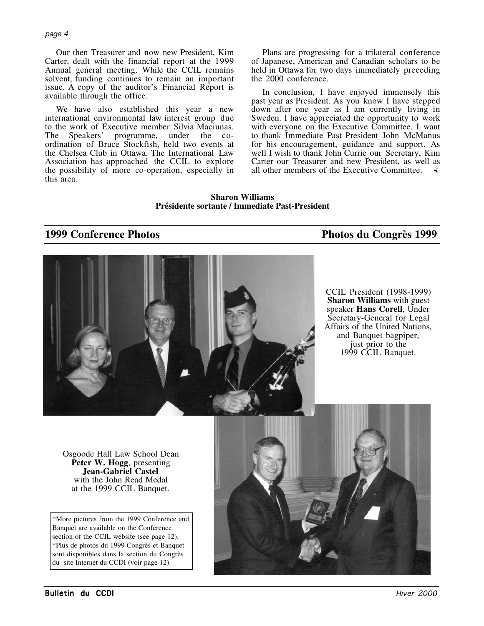Our then Treasurer and now new President, Kim Carter, dealt with the financial report at the 1999 Annual general meeting. While the CCIL remains solvent, funding continues to remain an important issue. A copy of the auditor's Financial Report is available through the office.

We have also established this year a new international environmental law interest group due to the work of Executive member Silvia Maciunas.<br>The Speakers' programme, under the counder the coordination of Bruce Stockfish, held two events at the Chelsea Club in Ottawa. The International Law Association has approached the CCIL to explore the possibility of more co-operation, especially in this area.

Plans are progressing for a trilateral conference of Japanese, American and Canadian scholars to be held in Ottawa for two days immediately preceding the 2000 conference.

In conclusion, I have enjoyed immensely this past year as President. As you know I have stepped  $d$ <sub>d</sub> own after one year as  $\dot{I}$  am currently living in Sweden. I have appreciated the opportunity to work with everyone on the Executive Committee. I want to thank Immediate Past President John McManus for his encouragement, guidance and support. As well I wish to thank John Currie our Secretary, Kim Carter our Treasurer and new President, as well as all other members of the Executive Committee.  $\triangleleft$ 

**Sharon Williams Présidente sortante / Immediate Past-President**

# **1999 Conference Photos Photos du Congrès 1999**



CCIL President (1998-1999) **Sharon Williams** with guest speaker **Hans Corell**, Under Secretary-General for Legal Affairs of the United Nations, and Banquet bagpiper, just prior to the 1999 CCIL Banquet.

Osgoode Hall Law School Dean **Peter W. Hogg**, presenting **Jean-Gabriel Castel** with the John Read Medal at the 1999 CCIL Banquet.

\*More pictures from the 1999 Conference and Banquet are available on the Conference section of the CCIL website (see page 12). \*Plus de photos du 1999 Congrès et Banquet sont disponibles dans la section du Congrès du site Internet du CCDI (voir page 12).

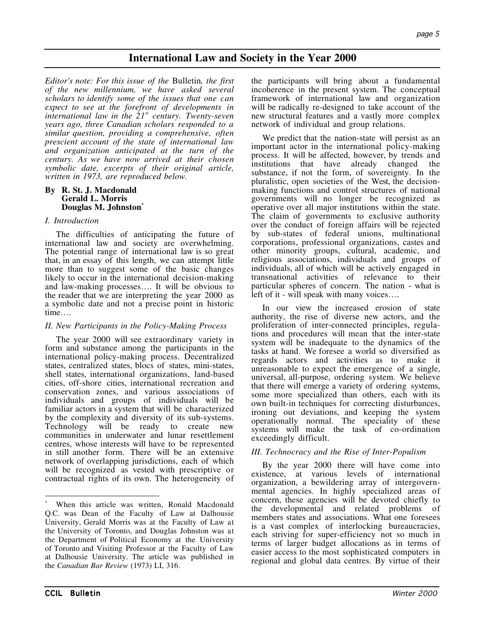# **International Law and Society in the Year 2000**

*Editor's note: For this issue of the* Bulletin*, the first of the new millennium, we have asked several scholars to identify some of the issues that one can expect to see at the forefront of developments in international law in the 21st century. Twenty-seven years ago, three Canadian scholars responded to a similar question, providing a comprehensive, often prescient account of the state of international law and organization anticipated at the turn of the century. As we have now arrived at their chosen symbolic date, excerpts of their original article, written in 1973, are reproduced below.*

## **By R. St. J. Macdonald Gerald L. Morris Douglas M. Johnston\***

## *I. Introduction*

The difficulties of anticipating the future of international law and society are overwhelming. The potential range of international law is so great that, in an essay of this length, we can attempt little more than to suggest some of the basic changes likely to occur in the international decision-making and law-making processes…. It will be obvious to the reader that we are interpreting the year 2000 as a symbolic date and not a precise point in historic time….

## *II. New Participants in the Policy-Making Process*

The year 2000 will see extraordinary variety in form and substance among the participants in the international policy-making process. Decentralized states, centralized states, blocs of states, mini-states, shell states, international organizations, land-based cities, off-shore cities, international recreation and conservation zones, and various associations of individuals and groups of individuals will be familiar actors in a system that will be characterized by the complexity and diversity of its sub-systems. Technology will be ready to create new communities in underwater and lunar resettlement centres, whose interests will have to be represented in still another form. There will be an extensive network of overlapping jurisdictions, each of which will be recognized as vested with prescriptive or contractual rights of its own. The heterogeneity of the participants will bring about a fundamental incoherence in the present system. The conceptual framework of international law and organization will be radically re-designed to take account of the new structural features and a vastly more complex network of individual and group relations.

We predict that the nation-state will persist as an important actor in the international policy-making process. It will be affected, however, by trends and institutions that have already changed the substance, if not the form, of sovereignty. In the pluralistic, open societies of the West, the decisionmaking functions and control structures of national governments will no longer be recognized as operative over all major institutions within the state. The claim of governments to exclusive authority over the conduct of foreign affairs will be rejected by sub-states of federal unions, multinational corporations, professional organizations, castes and other minority groups, cultural, academic, and religious associations, individuals and groups of individuals, all of which will be actively engaged in transnational activities of relevance to their particular spheres of concern. The nation - what is left of it - will speak with many voices….

In our view the increased erosion of state authority, the rise of diverse new actors, and the proliferation of inter-connected principles, regulations and procedures will mean that the inter-state system will be inadequate to the dynamics of the tasks at hand. We foresee a world so diversified as regards actors and activities as to make it unreasonable to expect the emergence of a single, universal, all-purpose, ordering system. We believe that there will emerge a variety of ordering systems, some more specialized than others, each with its own built-in techniques for correcting disturbances, ironing out deviations, and keeping the system operationally normal. The speciality of these systems will make the task of co-ordination exceedingly difficult.

## *III. Technocracy and the Rise of Inter-Populism*

By the year 2000 there will have come into existence, at various levels of international organization, a bewildering array of intergovernmental agencies. In highly specialized areas of concern, these agencies will be devoted chiefly to the developmental and related problems of members states and associations. What one foresees is a vast complex of interlocking bureaucracies, each striving for super-efficiency not so much in terms of larger budget allocations as in terms of easier access to the most sophisticated computers in regional and global data centres. By virtue of their

 $\overline{a}$ 

When this article was written, Ronald Macdonald Q.C. was Dean of the Faculty of Law at Dalhousie University, Gerald Morris was at the Faculty of Law at the University of Toronto, and Douglas Johnston was at the Department of Political Economy at the University of Toronto and Visiting Professor at the Faculty of Law at Dalhousie University. The article was published in the *Canadian Bar Review* (1973) LI, 316.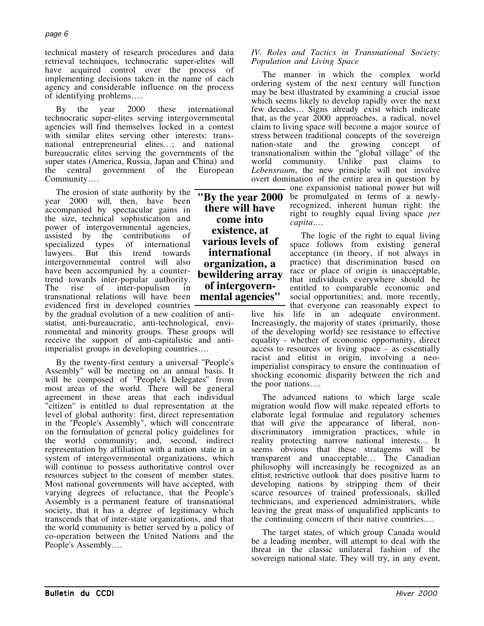technical mastery of research procedures and data retrieval techniques, technocratic super-elites will have acquired control over the process of implementing decisions taken in the name of each agency and considerable influence on the process of identifying problems….

By the year 2000 these international technocratic super-elites serving intergovernmental agencies will find themselves locked in a contest with similar elites serving other interests: transnational entrepreneurial elites…; and national bureaucratic elites serving the governments of the super states (America, Russia, Japan and China) and the central government of the European Community….

The erosion of state authority by the year 2000 will, then, have been accompanied by spectacular gains in the size, technical sophistication and power of intergovernmental agencies, assisted by the contributions of specialized types of international specialized types of lawyers. But this trend towards intergovernmental control will also have been accompanied by a countertrend towards inter-popular authority. The rise of inter-populism in transnational relations will have been evidenced first in developed countries

by the gradual evolution of a new coalition of antistatist, anti-bureaucratic, anti-technological, environmental and minority groups. These groups will receive the support of anti-capitalistic and antiimperialist groups in developing countries….

By the twenty-first century a universal "People's Assembly" will be meeting on an annual basis. It will be composed of "People's Delegates" from most areas of the world. There will be general agreement in these areas that each individual "citizen" is entitled to dual representation at the level of global authority: first, direct representation in the "People's Assembly", which will concentrate on the formulation of general policy guidelines for the world community; and, second, indirect representation by affiliation with a nation state in a system of intergovernmental organizations, which will continue to possess authoritative control over resources subject to the consent of member states. Most national governments will have accepted, with varying degrees of reluctance, that the People's Assembly is a permanent feature of transnational society, that it has a degree of legitimacy which transcends that of inter-state organizations, and that the world community is better served by a policy of co-operation between the United Nations and the People's Assembly.…

*IV. Roles and Tactics in Transnational Society: Population and Living Space*

The manner in which the complex world ordering system of the next century will function may be best illustrated by examining a crucial issue which seems likely to develop rapidly over the next few decades… Signs already exist which indicate that, as the year 2000 approaches, a radical, novel claim to living space will become a major source of stress between traditional concepts of the sovereign<br>nation-state and the growing concept of nation-state and the growing concept of transnationalism within the "global village" of the world community. Unlike past claims to *Lebensraum*, the new principle will not involve overt domination of the entire area in question by

> one expansionist national power but will be promulgated in terms of a newlyrecognized, inherent human right: the right to roughly equal living space *per capita….*

The logic of the right to equal living space follows from existing general acceptance (in theory, if not always in practice) that discrimination based on race or place of origin is unacceptable, that individuals everywhere should be entitled to comparable economic and social opportunities; and, more recently, that everyone can reasonably expect to live his life in an adequate environment. Increasingly, the majority of states (primarily, those of the developing world) see resistance to effective equality - whether of economic opportunity, direct

access to resources or living space - as essentially racist and elitist in origin, involving a neoimperialist conspiracy to ensure the continuation of shocking economic disparity between the rich and the poor nations….

The advanced nations to which large scale migration would flow will make repeated efforts to elaborate legal formulae and regulatory schemes that will give the appearance of liberal, nondiscriminatory immigration practices, while in reality protecting narrow national interests… It seems obvious that these stratagems will be transparent and unacceptable… The Canadian philosophy will increasingly be recognized as an elitist, restrictive outlook that does positive harm to developing nations by stripping them of their scarce resources of trained professionals, skilled technicians, and experienced administrators, while leaving the great mass of unqualified applicants to the continuing concern of their native countries.…

The target states, of which group Canada would be a leading member, will attempt to deal with the threat in the classic unilateral fashion of the sovereign national state. They will try, in any event,

**"By the year 2000 there will have come into existence, at various levels of international organization, a bewildering array of intergovernmental agencies"**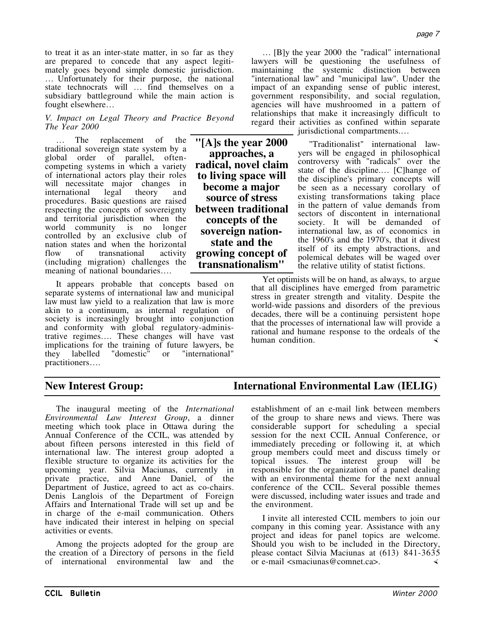to treat it as an inter-state matter, in so far as they are prepared to concede that any aspect legitimately goes beyond simple domestic jurisdiction. … Unfortunately for their purpose, the national state technocrats will … find themselves on a subsidiary battleground while the main action is fought elsewhere…

## *V. Impact on Legal Theory and Practice Beyond The Year 2000*

The replacement of the traditional sovereign state system by a global order of parallel, oftencompeting systems in which a variety of international actors play their roles will necessitate major changes in<br>international legal theory and international legal theory procedures. Basic questions are raised respecting the concepts of sovereignty and territorial jurisdiction when the world community is no longer controlled by an exclusive club of nation states and when the horizontal<br>flow of transnational activity flow of transnational activity (including migration) challenges the meaning of national boundaries….

It appears probable that concepts based on separate systems of international law and municipal law must law yield to a realization that law is more akin to a continuum, as internal regulation of society is increasingly brought into conjunction and conformity with global regulatory-administrative regimes…. These changes will have vast implications for the training of future lawyers, be they labelled "domestic" or "international" they labelled practitioners….

**"[A]s the year 2000 approaches, a radical, novel claim to living space will become a major source of stress between traditional concepts of the sovereign nationstate and the growing concept of transnationalism"**

… [B]y the year 2000 the "radical" international lawyers will be questioning the usefulness of maintaining the systemic distinction between "international law" and "municipal law". Under the impact of an expanding sense of public interest, government responsibility, and social regulation, agencies will have mushroomed in a pattern of relationships that make it increasingly difficult to regard their activities as confined within separate jurisdictional compartments.…

> "Traditionalist" international lawyers will be engaged in philosophical controversy with "radicals" over the state of the discipline.… [C]hange of the discipline's primary concepts will be seen as a necessary corollary of existing transformations taking place in the pattern of value demands from sectors of discontent in international society. It will be demanded of international law, as of economics in the 1960's and the 1970's, that it divest itself of its empty abstractions, and polemical debates will be waged over the relative utility of statist fictions.

Yet optimists will be on hand, as always, to argue that all disciplines have emerged from parametric stress in greater strength and vitality. Despite the world-wide passions and disorders of the previous decades, there will be a continuing persistent hope that the processes of international law will provide a rational and humane response to the ordeals of the human condition.

The inaugural meeting of the *International Environmental Law Interest Group*, a dinner meeting which took place in Ottawa during the Annual Conference of the CCIL, was attended by about fifteen persons interested in this field of international law. The interest group adopted a flexible structure to organize its activities for the upcoming year. Silvia Maciunas, currently in private practice, and Anne Daniel, of the Department of Justice, agreed to act as co-chairs. Denis Langlois of the Department of Foreign Affairs and International Trade will set up and be in charge of the e-mail communication. Others have indicated their interest in helping on special activities or events.

Among the projects adopted for the group are the creation of a Directory of persons in the field of international environmental law and the

# **New Interest Group: International Environmental Law (IELIG)**

establishment of an e-mail link between members of the group to share news and views. There was considerable support for scheduling a special session for the next CCIL Annual Conference, or immediately preceding or following it, at which group members could meet and discuss timely or topical issues. The interest group will be responsible for the organization of a panel dealing with an environmental theme for the next annual conference of the CCIL. Several possible themes were discussed, including water issues and trade and the environment.

I invite all interested CCIL members to join our company in this coming year. Assistance with any project and ideas for panel topics are welcome. Should you wish to be included in the Directory, please contact Silvia Maciunas at (613) 841-3635 or e-mail <smaciunas@comnet.ca>.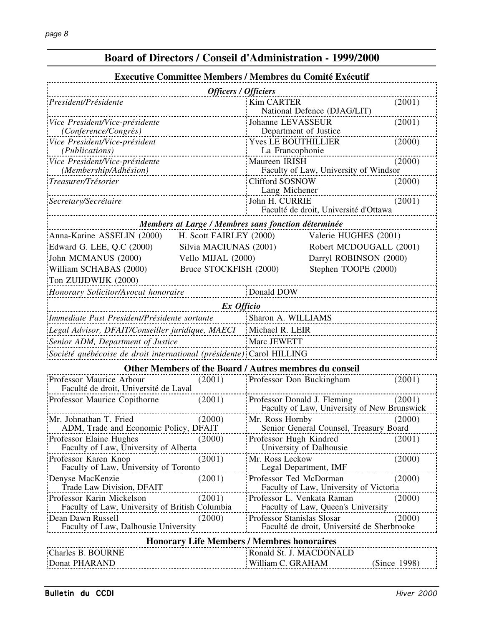| <b>Executive Committee Members / Membres du Comité Exécutif</b>             |                         |                                                                            |                         |  |  |  |  |
|-----------------------------------------------------------------------------|-------------------------|----------------------------------------------------------------------------|-------------------------|--|--|--|--|
| <b>Officers / Officiers</b>                                                 |                         |                                                                            |                         |  |  |  |  |
| President/Présidente                                                        |                         | <b>Kim CARTER</b><br>National Defence (DJAG/LIT)                           | (2001)                  |  |  |  |  |
| Vice President/Vice-présidente<br>(Conference/Congrès)                      |                         | Johanne LEVASSEUR<br>Department of Justice                                 | (2001)                  |  |  |  |  |
| Vice President/Vice-président<br>(Publications)                             |                         | <b>Yves LE BOUTHILLIER</b><br>La Francophonie                              | (2000)                  |  |  |  |  |
| Vice President/Vice-présidente<br>(Membership/Adhésion)                     |                         | Maureen IRISH<br>Faculty of Law, University of Windsor                     | (2000)                  |  |  |  |  |
| Treasurer/Trésorier                                                         |                         | <b>Clifford SOSNOW</b><br>(2000)<br>Lang Michener                          |                         |  |  |  |  |
| Secretary/Secrétaire                                                        |                         | John H. CURRIE<br>(2001)<br>Faculté de droit, Université d'Ottawa          |                         |  |  |  |  |
| Members at Large / Membres sans fonction déterminée                         |                         |                                                                            |                         |  |  |  |  |
| Anna-Karine ASSELIN (2000)                                                  | H. Scott FAIRLEY (2000) |                                                                            | Valerie HUGHES (2001)   |  |  |  |  |
| Edward G. LEE, Q.C (2000)                                                   | Silvia MACIUNAS (2001)  |                                                                            | Robert MCDOUGALL (2001) |  |  |  |  |
| John MCMANUS (2000)                                                         | Vello MIJAL (2000)      |                                                                            | Darryl ROBINSON (2000)  |  |  |  |  |
| William SCHABAS (2000)                                                      | Bruce STOCKFISH (2000)  | Stephen TOOPE (2000)                                                       |                         |  |  |  |  |
| Ton ZUIJDWIJK (2000)                                                        |                         |                                                                            |                         |  |  |  |  |
| Honorary Solicitor/Avocat honoraire                                         |                         | Donald DOW                                                                 |                         |  |  |  |  |
|                                                                             |                         |                                                                            |                         |  |  |  |  |
| Ex Officio                                                                  |                         |                                                                            |                         |  |  |  |  |
| Immediate Past President/Présidente sortante                                |                         | Sharon A. WILLIAMS                                                         |                         |  |  |  |  |
| Legal Advisor, DFAIT/Conseiller juridique, MAECI                            |                         | Michael R. LEIR                                                            |                         |  |  |  |  |
| Senior ADM, Department of Justice                                           |                         | Marc JEWETT                                                                |                         |  |  |  |  |
| Société québécoise de droit international (présidente): Carol HILLING       |                         |                                                                            |                         |  |  |  |  |
|                                                                             |                         | Other Members of the Board / Autres membres du conseil                     |                         |  |  |  |  |
| Professor Maurice Arbour<br>Faculté de droit, Université de Laval           | (2001)                  | Professor Don Buckingham                                                   | (2001)                  |  |  |  |  |
| Professor Maurice Copithorne                                                | (2001)                  | Professor Donald J. Fleming<br>Faculty of Law, University of New Brunswick | (2001)                  |  |  |  |  |
| Mr. Johnathan T. Fried                                                      | (2000)                  | Mr. Ross Hornby                                                            | (2000)                  |  |  |  |  |
| ADM, Trade and Economic Policy, DFAIT                                       |                         | Senior General Counsel, Treasury Board                                     |                         |  |  |  |  |
| Professor Elaine Hughes                                                     | (2000)                  | Professor Hugh Kindred<br>(2001)                                           |                         |  |  |  |  |
| Faculty of Law, University of Alberta                                       |                         | University of Dalhousie                                                    |                         |  |  |  |  |
| Professor Karen Knop<br>Faculty of Law, University of Toronto               | (2001)                  | Mr. Ross Leckow<br>Legal Department, IMF                                   | (2000)                  |  |  |  |  |
| Denyse MacKenzie                                                            | (2001)                  | Professor Ted McDorman                                                     | (2000)                  |  |  |  |  |
| Trade Law Division, DFAIT                                                   |                         | Faculty of Law, University of Victoria                                     |                         |  |  |  |  |
| Professor Karin Mickelson<br>Faculty of Law, University of British Columbia | (2001)                  | Professor L. Venkata Raman<br>Faculty of Law, Queen's University           | (2000)                  |  |  |  |  |
| Dean Dawn Russell                                                           | (2000)                  | Professor Stanislas Slosar                                                 | (2000)                  |  |  |  |  |
| Faculty of Law, Dalhousie University                                        |                         | Faculté de droit, Université de Sherbrooke                                 |                         |  |  |  |  |
| <b>Honorary Life Members / Membres honoraires</b>                           |                         |                                                                            |                         |  |  |  |  |
| Charles B. BOURNE                                                           |                         | Ronald St. J. MACDONALD                                                    |                         |  |  |  |  |
| Donat PHARAND                                                               |                         | William C. GRAHAM                                                          | (Since 1998)            |  |  |  |  |

# **Board of Directors / Conseil d'Administration - 1999/2000**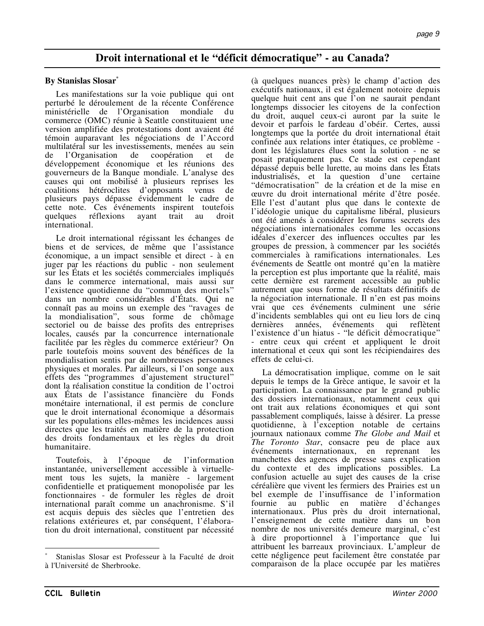# **Droit international et le "déficit démocratique" - au Canada?**

## **By Stanislas Slosar\***

Les manifestations sur la voie publique qui ont perturbé le déroulement de la récente Conférence ministérielle de l'Organisation mondiale du commerce (OMC) réunie à Seattle constituaient une version amplifiée des protestations dont avaient été témoin auparavant les négociations de l'Accord multilatéral sur les investissements, menées au sein de l'Organisation de coopération et de développement économique et les réunions des gouverneurs de la Banque mondiale. L'analyse des causes qui ont mobilisé à plusieurs reprises les coalitions hétéroclites d'opposants venus de plusieurs pays dépasse évidemment le cadre de cette note. Ces événements inspirent toutefois quelques réflexions ayant trait au droit quelques réflexions ayant trait au droit international.

Le droit international régissant les échanges de biens et de services, de même que l'assistance économique, a un impact sensible et direct - à en juger par les réactions du public - non seulement sur les États et les sociétés commerciales impliqués dans le commerce international, mais aussi sur l'existence quotidienne du "commun des mortels" dans un nombre considérables d'États. Qui ne connaît pas au moins un exemple des "ravages de la mondialisation", sous forme de chômage sectoriel ou de baisse des profits des entreprises locales, causés par la concurrence internationale facilitée par les règles du commerce extérieur? On parle toutefois moins souvent des bénéfices de la mondialisation sentis par de nombreuses personnes physiques et morales. Par ailleurs, si l'on songe aux effets des "programmes d'ajustement structurel" dont la réalisation constitue la condition de l'octroi aux États de l'assistance financière du Fonds monétaire international, il est permis de conclure que le droit international économique a désormais sur les populations elles-mêmes les incidences aussi directes que les traités en matière de la protection des droits fondamentaux et les règles du droit humanitaire.

Toutefois, à l'époque de l'information instantanée, universellement accessible à virtuellement tous les sujets, la manière - largement confidentielle et pratiquement monopolisée par les fonctionnaires - de formuler les règles de droit international paraît comme un anachronisme. S'il est acquis depuis des siècles que l'entretien des relations extérieures et, par conséquent, l'élaboration du droit international, constituent par nécessité

(à quelques nuances près) le champ d'action des exécutifs nationaux, il est également notoire depuis quelque huit cent ans que l'on ne saurait pendant longtemps dissocier les citoyens de la confection du droit, auquel ceux-ci auront par la suite le devoir et parfois le fardeau d'obéir. Certes, aussi longtemps que la portée du droit international était confinée aux relations inter étatiques, ce problème dont les législatures élues sont la solution - ne se posait pratiquement pas. Ce stade est cependant dépassé depuis belle lurette, au moins dans les États industrialisés, et la question d'une certaine "démocratisation" de la création et de la mise en œuvre du droit international mérite d'être posée. Elle l'est d'autant plus que dans le contexte de l'idéologie unique du capitalisme libéral, plusieurs ont été amenés à considérer les forums secrets des négociations internationales comme les occasions idéales d'exercer des influences occultes par les groupes de pression, à commencer par les sociétés commerciales à ramifications internationales. Les événements de Seattle ont montré qu'en la matière la perception est plus importante que la réalité, mais cette dernière est rarement accessible au public autrement que sous forme de résultats définitifs de la négociation internationale. Il n'en est pas moins vrai que ces événements culminent une série d'incidents semblables qui ont eu lieu lors de cinq dernières années, événements qui reflètent l'existence d'un hiatus - "le déficit démocratique" - entre ceux qui créent et appliquent le droit international et ceux qui sont les récipiendaires des effets de celui-ci.

La démocratisation implique, comme on le sait depuis le temps de la Grèce antique, le savoir et la participation. La connaissance par le grand public des dossiers internationaux, notamment ceux qui ont trait aux relations économiques et qui sont passablement compliqués, laisse à désirer. La presse quotidienne, à l'exception notable de certains journaux nationaux comme *The Globe and Mail* et *The Toronto Star*, consacre peu de place aux événements internationaux, en reprenant les manchettes des agences de presse sans explication du contexte et des implications possibles. La confusion actuelle au sujet des causes de la crise céréalière que vivent les fermiers des Prairies est un bel exemple de l'insuffisance de l'information<br>fournie au public en matière d'échanges public en internationaux. Plus près du droit international, l'enseignement de cette matière dans un bon nombre de nos universités demeure marginal, c'est à dire proportionnel à l'importance que lui attribuent les barreaux provinciaux. L'ampleur de cette négligence peut facilement être constatée par comparaison de la place occupée par les matières

 $\overline{a}$ 

Stanislas Slosar est Professeur à la Faculté de droit à l'Université de Sherbrooke.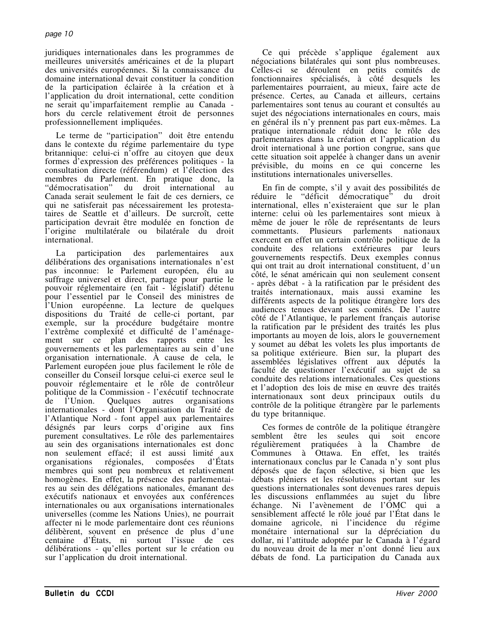juridiques internationales dans les programmes de meilleures universités américaines et de la plupart des universités européennes. Si la connaissance du domaine international devait constituer la condition de la participation éclairée à la création et à l'application du droit international, cette condition ne serait qu'imparfaitement remplie au Canada hors du cercle relativement étroit de personnes professionnellement impliquées.

Le terme de "participation" doit être entendu dans le contexte du régime parlementaire du type britannique: celui-ci n'offre au citoyen que deux formes d'expression des préférences politiques - la consultation directe (référendum) et l'élection des membres du Parlement. En pratique donc, la "démocratisation" du droit international au Canada serait seulement le fait de ces derniers, ce qui ne satisferait pas nécessairement les protestataires de Seattle et d'ailleurs. De surcroît, cette participation devrait être modulée en fonction de l'origine multilatérale ou bilatérale du droit international.

La participation des parlementaires aux délibérations des organisations internationales n'est pas inconnue: le Parlement européen, élu au suffrage universel et direct, partage pour partie le pouvoir réglementaire (en fait - législatif) détenu pour l'essentiel par le Conseil des ministres de l'Union européenne. La lecture de quelques dispositions du Traité de celle-ci portant, par exemple, sur la procédure budgétaire montre l'extrême complexité et difficulté de l'aménagement sur ce plan des rapports entre les gouvernements et les parlementaires au sein d'une organisation internationale. À cause de cela, le Parlement européen joue plus facilement le rôle de conseiller du Conseil lorsque celui-ci exerce seul le pouvoir réglementaire et le rôle de contrôleur politique de la Commission - l'exécutif technocrate<br>de l'Union. Quelques autres organisations Quelques autres organisations internationales - dont l'Organisation du Traité de l'Atlantique Nord - font appel aux parlementaires désignés par leurs corps d'origine aux fins purement consultatives. Le rôle des parlementaires au sein des organisations internationales est donc non seulement effacé; il est aussi limité aux organisations régionales, composées d'États membres qui sont peu nombreux et relativement homogènes. En effet, la présence des parlementaires au sein des délégations nationales, émanant des exécutifs nationaux et envoyées aux conférences internationales ou aux organisations internationales universelles (comme les Nations Unies), ne pourrait affecter ni le mode parlementaire dont ces réunions délibèrent, souvent en présence de plus d'une centaine d'États, ni surtout l'issue de ces délibérations - qu'elles portent sur le création ou sur l'application du droit international.

Ce qui précède s'applique également aux négociations bilatérales qui sont plus nombreuses. Celles-ci se déroulent en petits comités de fonctionnaires spécialisés, à côté desquels les parlementaires pourraient, au mieux, faire acte de présence. Certes, au Canada et ailleurs, certains parlementaires sont tenus au courant et consultés au sujet des négociations internationales en cours, mais en général ils n'y prennent pas part eux-mêmes. La pratique internationale réduit donc le rôle des parlementaires dans la création et l'application du droit international à une portion congrue, sans que cette situation soit appelée à changer dans un avenir prévisible, du moins en ce qui concerne les institutions internationales universelles.

En fin de compte, s'il y avait des possibilités de réduire le "déficit démocratique" du droit international, elles n'existeraient que sur le plan interne: celui où les parlementaires sont mieux à même de jouer le rôle de représentants de leurs commettants. Plusieurs parlements nationaux exercent en effet un certain contrôle politique de la conduite des relations extérieures par leurs gouvernements respectifs. Deux exemples connus qui ont trait au droit international constituent, d'un côté, le sénat américain qui non seulement consent - après débat - à la ratification par le président des traités internationaux, mais aussi examine les différents aspects de la politique étrangère lors des audiences tenues devant ses comités. De l'autre côté de l'Atlantique, le parlement français autorise la ratification par le président des traités les plus importants au moyen de lois, alors le gouvernement y soumet au débat les volets les plus importants de sa politique extérieure. Bien sur, la plupart des assemblées législatives offrent aux députés la faculté de questionner l'exécutif au sujet de sa conduite des relations internationales. Ces questions et l'adoption des lois de mise en œuvre des traités internationaux sont deux principaux outils du contrôle de la politique étrangère par le parlements du type britannique.

Ces formes de contrôle de la politique étrangère semblent être les seules qui soit encore régulièrement pratiquées à la Chambre de Communes à Ottawa. En effet, les traités internationaux conclus par le Canada n'y sont plus déposés que de façon sélective, si bien que les débats pléniers et les résolutions portant sur les questions internationales sont devenues rares depuis les discussions enflammées au sujet du libre échange. Ni l'avènement de l'OMC qui a sensiblement affecté le rôle joué par l'État dans le domaine agricole, ni l'incidence du régime monétaire international sur la dépréciation du dollar, ni l'attitude adoptée par le Canada à l'égard du nouveau droit de la mer n'ont donné lieu aux débats de fond. La participation du Canada aux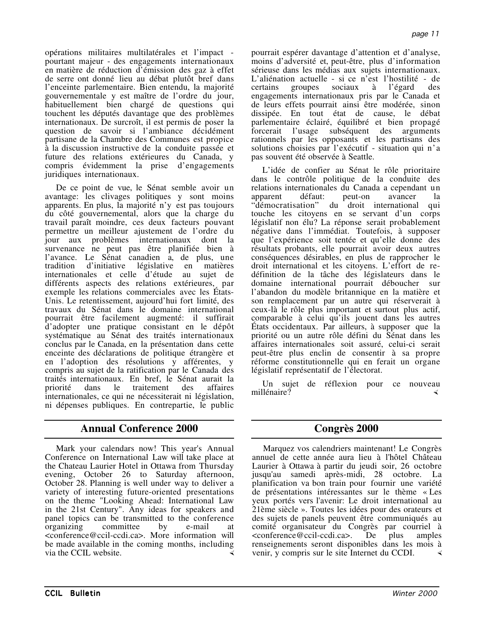opérations militaires multilatérales et l'impact pourtant majeur - des engagements internationaux en matière de réduction d'émission des gaz à effet de serre ont donné lieu au débat plutôt bref dans l'enceinte parlementaire. Bien entendu, la majorité gouvernementale y est maître de l'ordre du jour, habituellement bien chargé de questions qui touchent les députés davantage que des problèmes internationaux. De surcroît, il est permis de poser la question de savoir si l'ambiance décidément partisane de la Chambre des Communes est propice à la discussion instructive de la conduite passée et future des relations extérieures du Canada, y compris évidemment la prise d'engagements juridiques internationaux.

De ce point de vue, le Sénat semble avoir un avantage: les clivages politiques y sont moins apparents. En plus, la majorité n'y est pas toujours du côté gouvernemental, alors que la charge du travail paraît moindre, ces deux facteurs pouvant permettre un meilleur ajustement de l'ordre du jour aux problèmes internationaux dont la survenance ne peut pas être planifiée bien à l'avance. Le Sénat canadien a, de plus, une tradition d'initiative législative en matières internationales et celle d'étude au sujet de différents aspects des relations extérieures, par exemple les relations commerciales avec les États-Unis. Le retentissement, aujourd'hui fort limité, des travaux du Sénat dans le domaine international pourrait être facilement augmenté: il suffirait d'adopter une pratique consistant en le dépôt systématique au Sénat des traités internationaux conclus par le Canada, en la présentation dans cette enceinte des déclarations de politique étrangère et en l'adoption des résolutions y afférentes, y compris au sujet de la ratification par le Canada des traités internationaux. En bref, le Sénat aurait la priorité dans le traitement des affaires internationales, ce qui ne nécessiterait ni législation, ni dépenses publiques. En contrepartie, le public

# **Annual Conference 2000 Congrès 2000**

Mark your calendars now! This year's Annual Conference on International Law will take place at the Chateau Laurier Hotel in Ottawa from Thursday evening, October 26 to Saturday afternoon, October 28. Planning is well under way to deliver a variety of interesting future-oriented presentations on the theme "Looking Ahead: International Law in the 21st Century". Any ideas for speakers and panel topics can be transmitted to the conference organizing committee by e-mail at <conference@ccil-ccdi.ca>. More information will be made available in the coming months, including via the CCIL website.

pourrait espérer davantage d'attention et d'analyse, moins d'adversité et, peut-être, plus d'information sérieuse dans les médias aux sujets internationaux. L'aliénation actuelle - si ce n'est l'hostilité - de certains groupes sociaux à l'égard des engagements internationaux pris par le Canada et de leurs effets pourrait ainsi être modérée, sinon dissipée. En tout état de cause, le débat parlementaire éclairé, équilibré et bien propagé forcerait l'usage subséquent des arguments rationnels par les opposants et les partisans des solutions choisies par l'exécutif - situation qui n'a pas souvent été observée à Seattle.

L'idée de confier au Sénat le rôle prioritaire dans le contrôle politique de la conduite des relations internationales du Canada a cependant un apparent défaut: peut-on avancer la<br>"démocratisation" du droit international qui du droit international qui touche les citoyens en se servant d'un corps législatif non élu? La réponse serait probablement négative dans l'immédiat. Toutefois, à supposer que l'expérience soit tentée et qu'elle donne des résultats probants, elle pourrait avoir deux autres conséquences désirables, en plus de rapprocher le droit international et les citoyens. L'effort de redéfinition de la tâche des législateurs dans le domaine international pourrait déboucher sur l'abandon du modèle britannique en la matière et son remplacement par un autre qui réserverait à ceux-là le rôle plus important et surtout plus actif, comparable à celui qu'ils jouent dans les autres États occidentaux. Par ailleurs, à supposer que la priorité ou un autre rôle défini du Sénat dans les affaires internationales soit assuré, celui-ci serait peut-être plus enclin de consentir à sa propre réforme constitutionnelle qui en ferait un organe législatif représentatif de l'électorat.

Un sujet de réflexion pour ce nouveau millénaire?

Marquez vos calendriers maintenant! Le Congrès annuel de cette année aura lieu à l'hôtel Château Laurier à Ottawa à partir du jeudi soir, 26 octobre jusqu'au samedi après-midi, 28 octobre. La planification va bon train pour fournir une variété de présentations intéressantes sur le thème « Les yeux portés vers l'avenir: Le droit international au 21ème siècle ». Toutes les idées pour des orateurs et des sujets de panels peuvent être communiqués au comité organisateur du Congrès par courriel à <conference@ccil-ccdi.ca>. De plus amples renseignements seront disponibles dans les mois à venir, y compris sur le site Internet du CCDI.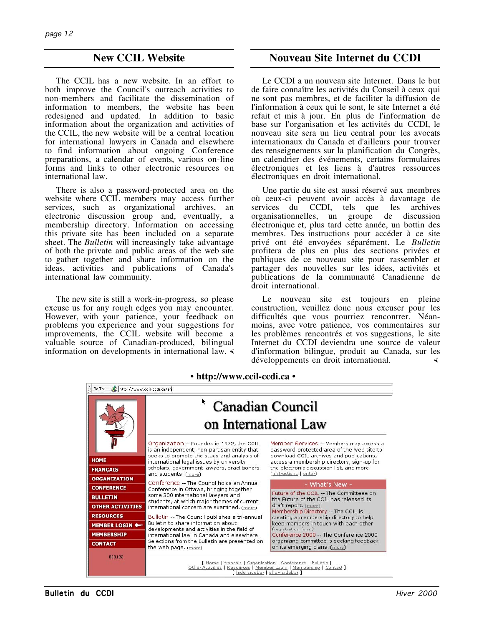# **New CCIL Website**

The CCIL has a new website. In an effort to both improve the Council's outreach activities to non-members and facilitate the dissemination of information to members, the website has been redesigned and updated. In addition to basic information about the organization and activities of the CCIL, the new website will be a central location for international lawyers in Canada and elsewhere to find information about ongoing Conference preparations, a calendar of events, various on-line forms and links to other electronic resources on international law.

There is also a password-protected area on the website where CCIL members may access further services, such as organizational archives, an electronic discussion group and, eventually, a membership directory. Information on accessing this private site has been included on a separate sheet. The *Bulletin* will increasingly take advantage of both the private and public areas of the web site to gather together and share information on the ideas, activities and publications of Canada's international law community.

The new site is still a work-in-progress, so please excuse us for any rough edges you may encounter. However, with your patience, your feedback on problems you experience and your suggestions for improvements, the CCIL website will become a valuable source of Canadian-produced, bilingual information on developments in international law.

# **Nouveau Site Internet du CCDI**

Le CCDI a un nouveau site Internet. Dans le but de faire connaître les activités du Conseil à ceux qui ne sont pas membres, et de faciliter la diffusion de l'information à ceux qui le sont, le site Internet a été refait et mis à jour. En plus de l'information de base sur l'organisation et les activités du CCDI, le nouveau site sera un lieu central pour les avocats internationaux du Canada et d'ailleurs pour trouver des renseignements sur la planification du Congrès, un calendrier des événements, certains formulaires électroniques et les liens à d'autres ressources électroniques en droit international.

Une partie du site est aussi réservé aux membres où ceux-ci peuvent avoir accès à davantage de services du CCDI, tels que les archives organisationnelles, un groupe de discussion électronique et, plus tard cette année, un bottin des membres. Des instructions pour accéder à ce site privé ont été envoyées séparément. Le *Bulletin* profitera de plus en plus des sections privées et publiques de ce nouveau site pour rassembler et partager des nouvelles sur les idées, activités et publications de la communauté Canadienne de droit international.

Le nouveau site est toujours en pleine construction, veuillez donc nous excuser pour les difficultés que vous pourriez rencontrer. Néanmoins, avec votre patience, vos commentaires sur les problèmes rencontrés et vos suggestions, le site Internet du CCDI deviendra une source de valeur d'information bilingue, produit au Canada, sur les développements en droit international.

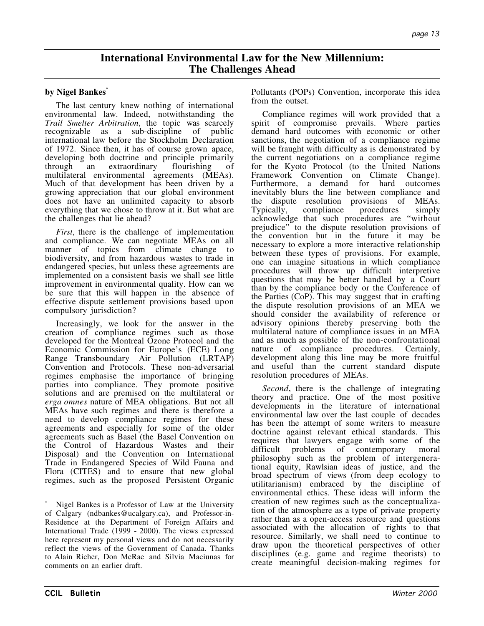# **International Environmental Law for the New Millennium: The Challenges Ahead**

## **by Nigel Bankes\***

The last century knew nothing of international environmental law. Indeed, notwithstanding the *Trail Smelter Arbitration*, the topic was scarcely recognizable as a sub-discipline of international law before the Stockholm Declaration of 1972. Since then, it has of course grown apace, developing both doctrine and principle primarily through an extraordinary flourishing of multilateral environmental agreements (MEAs). Much of that development has been driven by a growing appreciation that our global environment does not have an unlimited capacity to absorb everything that we chose to throw at it. But what are the challenges that lie ahead?

*First*, there is the challenge of implementation and compliance. We can negotiate MEAs on all manner of topics from climate change to biodiversity, and from hazardous wastes to trade in endangered species, but unless these agreements are implemented on a consistent basis we shall see little improvement in environmental quality. How can we be sure that this will happen in the absence of effective dispute settlement provisions based upon compulsory jurisdiction?

Increasingly, we look for the answer in the creation of compliance regimes such as those developed for the Montreal Ozone Protocol and the Economic Commission for Europe's (ECE) Long Range Transboundary Air Pollution (LRTAP) Convention and Protocols. These non-adversarial regimes emphasise the importance of bringing parties into compliance. They promote positive solutions and are premised on the multilateral or *erga omnes* nature of MEA obligations. But not all MEAs have such regimes and there is therefore a need to develop compliance regimes for these agreements and especially for some of the older agreements such as Basel (the Basel Convention on the Control of Hazardous Wastes and their Disposal) and the Convention on International Trade in Endangered Species of Wild Fauna and Flora (CITES) and to ensure that new global regimes, such as the proposed Persistent Organic

Pollutants (POPs) Convention, incorporate this idea from the outset.

Compliance regimes will work provided that a spirit of compromise prevails. Where parties demand hard outcomes with economic or other sanctions, the negotiation of a compliance regime will be fraught with difficulty as is demonstrated by the current negotiations on a compliance regime for the Kyoto Protocol (to the United Nations Framework Convention on Climate Change). Furthermore, a demand for hard outcomes inevitably blurs the line between compliance and the dispute resolution provisions of MEAs.<br>Typically, compliance procedures simply Typically, compliance procedures simply acknowledge that such procedures are "without prejudice" to the dispute resolution provisions of the convention but in the future it may be necessary to explore a more interactive relationship between these types of provisions. For example, one can imagine situations in which compliance procedures will throw up difficult interpretive questions that may be better handled by a Court than by the compliance body or the Conference of the Parties (CoP). This may suggest that in crafting the dispute resolution provisions of an MEA we should consider the availability of reference or advisory opinions thereby preserving both the multilateral nature of compliance issues in an MEA and as much as possible of the non-confrontational nature of compliance procedures. Certainly, development along this line may be more fruitful and useful than the current standard dispute resolution procedures of MEAs.

*Second*, there is the challenge of integrating theory and practice. One of the most positive developments in the literature of international environmental law over the last couple of decades has been the attempt of some writers to measure doctrine against relevant ethical standards. This requires that lawyers engage with some of the difficult problems of contemporary moral philosophy such as the problem of intergenerational equity, Rawlsian ideas of justice, and the broad spectrum of views (from deep ecology to utilitarianism) embraced by the discipline of environmental ethics. These ideas will inform the creation of new regimes such as the conceptualization of the atmosphere as a type of private property rather than as a open-access resource and questions associated with the allocation of rights to that resource. Similarly, we shall need to continue to draw upon the theoretical perspectives of other disciplines (e.g. game and regime theorists) to create meaningful decision-making regimes for

 $\overline{a}$ 

Nigel Bankes is a Professor of Law at the University of Calgary (ndbankes@ucalgary.ca), and Professor-in-Residence at the Department of Foreign Affairs and International Trade (1999 - 2000). The views expressed here represent my personal views and do not necessarily reflect the views of the Government of Canada. Thanks to Alain Richer, Don McRae and Silvia Maciunas for comments on an earlier draft.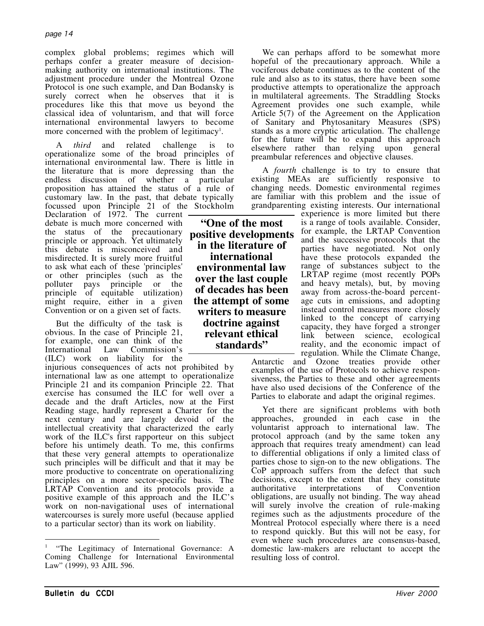complex global problems; regimes which will perhaps confer a greater measure of decisionmaking authority on international institutions. The adjustment procedure under the Montreal Ozone Protocol is one such example, and Dan Bodansky is surely correct when he observes that it is procedures like this that move us beyond the classical idea of voluntarism, and that will force international environmental lawyers to become more concerned with the problem of legitimacy<sup>1</sup>.

A *third* and related challenge is to operationalize some of the broad principles of international environmental law. There is little in the literature that is more depressing than the endless discussion of whether a particular proposition has attained the status of a rule of customary law. In the past, that debate typically focussed upon Principle 21 of the Stockholm

Declaration of 1972. The current debate is much more concerned with the status of the precautionary principle or approach. Yet ultimately this debate is misconceived and misdirected. It is surely more fruitful to ask what each of these 'principles' or other principles (such as the polluter pays principle or the principle of equitable utilization) might require, either in a given Convention or on a given set of facts.

But the difficulty of the task is obvious. In the case of Principle 21, for example, one can think of the International Law Commission's (ILC) work on liability for the

injurious consequences of acts not prohibited by international law as one attempt to operationalize Principle 21 and its companion Principle 22. That exercise has consumed the ILC for well over a decade and the draft Articles, now at the First Reading stage, hardly represent a Charter for the next century and are largely devoid of the intellectual creativity that characterized the early work of the ILC's first rapporteur on this subject before his untimely death. To me, this confirms that these very general attempts to operationalize such principles will be difficult and that it may be more productive to concentrate on operationalizing principles on a more sector-specific basis. The LRTAP Convention and its protocols provide a positive example of this approach and the ILC's work on non-navigational uses of international watercourses is surely more useful (because applied to a particular sector) than its work on liability.

**"One of the most positive developments in the literature of international environmental law over the last couple of decades has been the attempt of some writers to measure doctrine against relevant ethical standards"**

We can perhaps afford to be somewhat more hopeful of the precautionary approach. While a vociferous debate continues as to the content of the rule and also as to its status, there have been some productive attempts to operationalize the approach in multilateral agreements. The Straddling Stocks Agreement provides one such example, while Article 5(7) of the Agreement on the Application of Sanitary and Phytosanitary Measures (SPS) stands as a more cryptic articulation. The challenge for the future will be to expand this approach elsewhere rather than relying upon general preambular references and objective clauses.

A *fourth* challenge is to try to ensure that existing MEAs are sufficiently responsive to changing needs. Domestic environmental regimes are familiar with this problem and the issue of grandparenting existing interests. Our international

experience is more limited but there is a range of tools available. Consider, for example, the LRTAP Convention and the successive protocols that the parties have negotiated. Not only have these protocols expanded the range of substances subject to the LRTAP regime (most recently POPs and heavy metals), but, by moving away from across-the-board percentage cuts in emissions, and adopting instead control measures more closely linked to the concept of carrying capacity, they have forged a stronger link between science, ecological reality, and the economic impact of regulation. While the Climate Change,

Antarctic and Ozone treaties provide other examples of the use of Protocols to achieve responsiveness, the Parties to these and other agreements have also used decisions of the Conference of the Parties to elaborate and adapt the original regimes.

Yet there are significant problems with both approaches, grounded in each case in the voluntarist approach to international law. The protocol approach (and by the same token any approach that requires treaty amendment) can lead to differential obligations if only a limited class of parties chose to sign-on to the new obligations. The CoP approach suffers from the defect that such decisions, except to the extent that they constitute authoritative interpretations of Convention obligations, are usually not binding. The way ahead will surely involve the creation of rule-making regimes such as the adjustments procedure of the Montreal Protocol especially where there is a need to respond quickly. But this will not be easy, for even where such procedures are consensus-based, domestic law-makers are reluctant to accept the resulting loss of control.

 $\overline{a}$ <sup>1</sup> "The Legitimacy of International Governance: A Coming Challenge for International Environmental Law" (1999), 93 AJIL 596.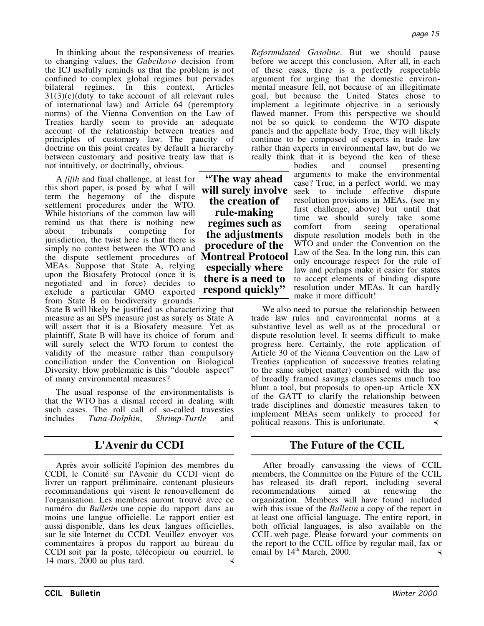In thinking about the responsiveness of treaties to changing values, the *Gabcikovo* decision from the ICJ usefully reminds us that the problem is not confined to complex global regimes but pervades bilateral regimes. In this context, Articles  $31(3)(c)$ (duty to take account of all relevant rules of international law) and Article 64 (peremptory norms) of the Vienna Convention on the Law of Treaties hardly seem to provide an adequate account of the relationship between treaties and principles of customary law. The paucity of doctrine on this point creates by default a hierarchy between customary and positive treaty law that is not intuitively, or doctrinally, obvious.

A *fifth* and final challenge, at least for this short paper, is posed by what I will term the hegemony of the dispute settlement procedures under the WTO. While historians of the common law will remind us that there is nothing new about tribunals competing for jurisdiction, the twist here is that there is simply no contest between the WTO and the dispute settlement procedures of **Montreal Protocol** MEAs. Suppose that State A, relying upon the Biosafety Protocol (once it is negotiated and in force) decides to exclude a particular GMO exported from State B on biodiversity grounds.

State B will likely be justified as characterizing that measure as an SPS measure just as surely as State A will assert that it is a Biosafety measure. Yet as plaintiff, State B will have its choice of forum and will surely select the WTO forum to contest the validity of the measure rather than compulsory conciliation under the Convention on Biological Diversity. How problematic is this "double aspect" of many environmental measures?

The usual response of the environmentalists is that the WTO has a dismal record in dealing with such cases. The roll call of so-called travesties includes *Tuna-Dolphin*, *Shrimp-Turtle* and

Après avoir sollicité l'opinion des membres du CCDI, le Comité sur l'Avenir du CCDI vient de livrer un rapport préliminaire, contenant plusieurs recommandations qui visent le renouvellement de l'organisation. Les membres auront trouvé avec ce numéro du *Bulletin* une copie du rapport dans au moins une langue officielle. Le rapport entier est aussi disponible, dans les deux langues officielles, sur le site Internet du CCDI. Veuillez envoyer vos commentaires à propos du rapport au bureau du CCDI soit par la poste, télécopieur ou courriel, le 14 mars, 2000 au plus tard.

page 15

*Reformulated Gasoline*. But we should pause before we accept this conclusion. After all, in each of these cases, there is a perfectly respectable argument for urging that the domestic environmental measure fell, not because of an illegitimate goal, but because the United States chose to implement a legitimate objective in a seriously flawed manner. From this perspective we should not be so quick to condemn the WTO dispute panels and the appellate body. True, they will likely continue to be composed of experts in trade law rather than experts in environmental law, but do we really think that it is beyond the ken of these

bodies and counsel presenting arguments to make the environmental case? True, in a perfect world, we may seek to include effective dispute resolution provisions in MEAs, (see my first challenge, above) but until that time we should surely take some<br>comfort from seeing operational comfort from seeing dispute resolution models both in the WTO and under the Convention on the Law of the Sea. In the long run, this can only encourage respect for the rule of law and perhaps make it easier for states to accept elements of binding dispute resolution under MEAs. It can hardly make it more difficult!

We also need to pursue the relationship between trade law rules and environmental norms at a substantive level as well as at the procedural or dispute resolution level. It seems difficult to make progress here. Certainly, the rote application of Article 30 of the Vienna Convention on the Law of Treaties (application of successive treaties relating to the same subject matter) combined with the use of broadly framed savings clauses seems much too blunt a tool, but proposals to open-up Article XX of the GATT to clarify the relationship between trade disciplines and domestic measures taken to implement MEAs seem unlikely to proceed for political reasons. This is unfortunate.

# **L'Avenir du CCDI The Future of the CCIL**

After broadly canvassing the views of CCIL members, the Committee on the Future of the CCIL has released its draft report, including several recommendations aimed at renewing the recommendations aimed at renewing the organization. Members will have found included with this issue of the *Bulletin* a copy of the report in at least one official language. The entire report, in both official languages, is also available on the CCIL web page. Please forward your comments on the report to the CCIL office by regular mail, fax or email by  $14<sup>th</sup>$  March, 2000.

**"The way ahead will surely involve the creation of rule-making regimes such as the adjustments procedure of the especially where there is a need to respond quickly"**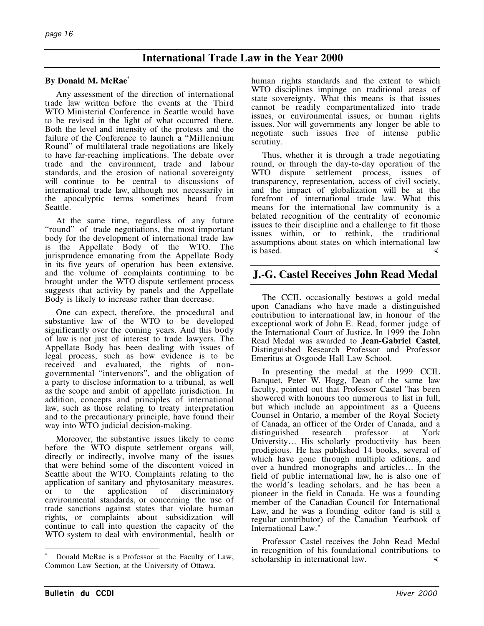# **International Trade Law in the Year 2000**

## **By Donald M. McRae\***

Any assessment of the direction of international trade law written before the events at the Third WTO Ministerial Conference in Seattle would have to be revised in the light of what occurred there. Both the level and intensity of the protests and the failure of the Conference to launch a "Millennium Round" of multilateral trade negotiations are likely to have far-reaching implications. The debate over trade and the environment, trade and labour standards, and the erosion of national sovereignty will continue to be central to discussions of international trade law, although not necessarily in the apocalyptic terms sometimes heard from Seattle.

At the same time, regardless of any future "round" of trade negotiations, the most important body for the development of international trade law is the Appellate Body of the WTO. The jurisprudence emanating from the Appellate Body in its five years of operation has been extensive, and the volume of complaints continuing to be brought under the WTO dispute settlement process suggests that activity by panels and the Appellate Body is likely to increase rather than decrease.

One can expect, therefore, the procedural and substantive law of the WTO to be developed significantly over the coming years. And this body of law is not just of interest to trade lawyers. The Appellate Body has been dealing with issues of legal process, such as how evidence is to be received and evaluated, the rights of nongovernmental "intervenors", and the obligation of a party to disclose information to a tribunal, as well as the scope and ambit of appellate jurisdiction. In addition, concepts and principles of international law, such as those relating to treaty interpretation and to the precautionary principle, have found their way into WTO judicial decision-making.

Moreover, the substantive issues likely to come before the WTO dispute settlement organs will, directly or indirectly, involve many of the issues that were behind some of the discontent voiced in Seattle about the WTO. Complaints relating to the application of sanitary and phytosanitary measures, or to the application of discriminatory environmental standards, or concerning the use of trade sanctions against states that violate human rights, or complaints about subsidization will continue to call into question the capacity of the WTO system to deal with environmental, health or

human rights standards and the extent to which WTO disciplines impinge on traditional areas of state sovereignty. What this means is that issues cannot be readily compartmentalized into trade issues, or environmental issues, or human rights issues. Nor will governments any longer be able to negotiate such issues free of intense public scrutiny.

Thus, whether it is through a trade negotiating round, or through the day-to-day operation of the WTO dispute settlement process, issues of transparency, representation, access of civil society, and the impact of globalization will be at the forefront of international trade law. What this means for the international law community is a belated recognition of the centrality of economic issues to their discipline and a challenge to fit those issues within, or to rethink, the traditional assumptions about states on which international law is based.

# **J.-G. Castel Receives John Read Medal**

The CCIL occasionally bestows a gold medal upon Canadians who have made a distinguished contribution to international law, in honour of the exceptional work of John E. Read, former judge of the International Court of Justice. In 1999 the John Read Medal was awarded to **Jean-Gabriel Castel**, Distinguished Research Professor and Professor Emeritus at Osgoode Hall Law School.

In presenting the medal at the 1999 CCIL Banquet, Peter W. Hogg, Dean of the same law faculty, pointed out that Professor Castel "has been showered with honours too numerous to list in full, but which include an appointment as a Queens Counsel in Ontario, a member of the Royal Society of Canada, an officer of the Order of Canada, and a distinguished research professor at York University… His scholarly productivity has been prodigious. He has published 14 books, several of which have gone through multiple editions, and over a hundred monographs and articles… In the field of public international law, he is also one of the world's leading scholars, and he has been a pioneer in the field in Canada. He was a founding member of the Canadian Council for International Law, and he was a founding editor (and is still a regular contributor) of the Canadian Yearbook of International Law."

Professor Castel receives the John Read Medal in recognition of his foundational contributions to scholarship in international law.

 $\overline{a}$ 

Donald McRae is a Professor at the Faculty of Law, Common Law Section, at the University of Ottawa.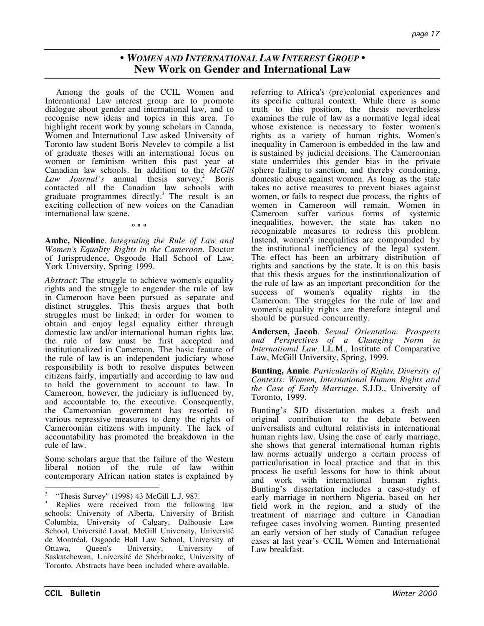page 17

**•** *WOMEN AND INTERNATIONAL LAW INTEREST GROUP* **• New Work on Gender and International Law**

Among the goals of the CCIL Women and International Law interest group are to promote dialogue about gender and international law, and to recognise new ideas and topics in this area. To highlight recent work by young scholars in Canada, Women and International Law asked University of Toronto law student Boris Nevelev to compile a list of graduate theses with an international focus on women or feminism written this past year at Canadian law schools. In addition to the *McGill Law Journal's* annual thesis survey,<sup>2</sup> Boris contacted all the Canadian law schools with graduate programmes directly.<sup>3</sup> The result is an exciting collection of new voices on the Canadian international law scene.

**Ambe, Nicoline**. *Integrating the Rule of Law and Women's Equality Rights in the Cameroon*. Doctor of Jurisprudence, Osgoode Hall School of Law, York University, Spring 1999.

**º º º**

*Abstract*: The struggle to achieve women's equality rights and the struggle to engender the rule of law in Cameroon have been pursued as separate and distinct struggles. This thesis argues that both struggles must be linked; in order for women to obtain and enjoy legal equality either through domestic law and/or international human rights law, the rule of law must be first accepted and institutionalized in Cameroon. The basic feature of the rule of law is an independent judiciary whose responsibility is both to resolve disputes between citizens fairly, impartially and according to law and to hold the government to account to law. In Cameroon, however, the judiciary is influenced by, and accountable to, the executive. Consequently, the Cameroonian government has resorted to various repressive measures to deny the rights of Cameroonian citizens with impunity. The lack of accountability has promoted the breakdown in the rule of law.

Some scholars argue that the failure of the Western liberal notion of the rule of law within contemporary African nation states is explained by referring to Africa's (pre)colonial experiences and its specific cultural context. While there is some truth to this position, the thesis nevertheless examines the rule of law as a normative legal ideal whose existence is necessary to foster women's rights as a variety of human rights. Women's inequality in Cameroon is embedded in the law and is sustained by judicial decisions. The Cameroonian state underrides this gender bias in the private sphere failing to sanction, and thereby condoning, domestic abuse against women. As long as the state takes no active measures to prevent biases against women, or fails to respect due process, the rights of women in Cameroon will remain. Women in Cameroon suffer various forms of systemic inequalities, however, the state has taken no recognizable measures to redress this problem. Instead, women's inequalities are compounded by the institutional inefficiency of the legal system. The effect has been an arbitrary distribution of rights and sanctions by the state. It is on this basis that this thesis argues for the institutionalization of the rule of law as an important precondition for the success of women's equality rights in the Cameroon. The struggles for the rule of law and women's equality rights are therefore integral and should be pursued concurrently.

**Andersen, Jacob**. *Sexual Orientation: Prospects and Perspectives of a Changing Norm in International Law*. LL.M., Institute of Comparative Law, McGill University, Spring, 1999.

**Bunting, Annie**. *Particularity of Rights, Diversity of Contexts: Women, International Human Rights and the Case of Early Marriage.* S.J.D., University of Toronto, 1999.

Bunting's SJD dissertation makes a fresh and original contribution to the debate between universalists and cultural relativists in international human rights law. Using the case of early marriage, she shows that general international human rights law norms actually undergo a certain process of particularisation in local practice and that in this process lie useful lessons for how to think about and work with international human rights. Bunting's dissertation includes a case-study of early marriage in northern Nigeria, based on her field work in the region, and a study of the treatment of marriage and culture in Canadian refugee cases involving women. Bunting presented an early version of her study of Canadian refugee cases at last year's CCIL Women and International Law breakfast.

 $\overline{a}$ <sup>2</sup> "Thesis Survey" (1998) 43 McGill L.J. 987.

Replies were received from the following law schools: University of Alberta, University of British Columbia, University of Calgary, Dalhousie Law School, Université Laval, McGill University, Université de Montréal, Osgoode Hall Law School, University of Ottawa, Queen's University, University of Saskatchewan, Université de Sherbrooke, University of Toronto. Abstracts have been included where available.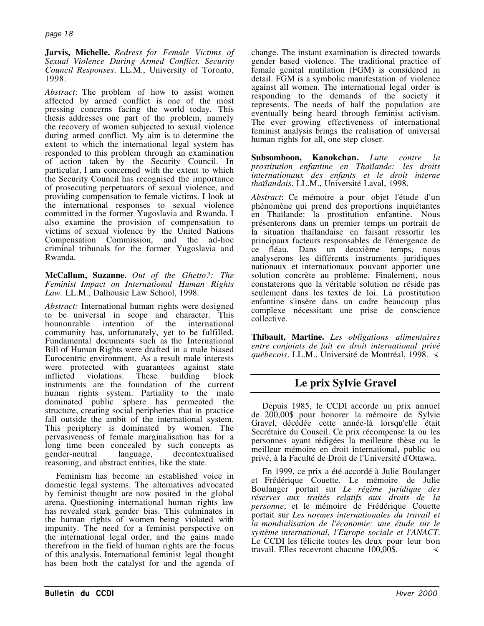**Jarvis, Michelle.** *Redress for Female Victims of Sexual Violence During Armed Conflict. Security Council Responses*. LL.M., University of Toronto, 1998.

*Abstract*: The problem of how to assist women affected by armed conflict is one of the most pressing concerns facing the world today. This thesis addresses one part of the problem, namely the recovery of women subjected to sexual violence during armed conflict. My aim is to determine the extent to which the international legal system has responded to this problem through an examination of action taken by the Security Council. In particular, I am concerned with the extent to which the Security Council has recognised the importance of prosecuting perpetuators of sexual violence, and providing compensation to female victims. I look at the international responses to sexual violence committed in the former Yugoslavia and Rwanda. I also examine the provision of compensation to victims of sexual violence by the United Nations Compensation Commission, and the ad-hoc criminal tribunals for the former Yugoslavia and Rwanda.

**McCallum, Suzanne.** *Out of the Ghetto?: The Feminist Impact on International Human Rights Law.* LL.M., Dalhousie Law School, 1998.

*Abstract:* International human rights were designed to be universal in scope and character. This hounourable intention of the international community has, unfortunately, yet to be fulfilled. Fundamental documents such as the International Bill of Human Rights were drafted in a male biased Eurocentric environment. As a result male interests were protected with guarantees against state<br>inflicted violations. These building block inflicted violations. These building block instruments are the foundation of the current human rights system. Partiality to the male dominated public sphere has permeated the structure, creating social peripheries that in practice fall outside the ambit of the international system. This periphery is dominated by women. The pervasiveness of female marginalisation has for a long time been concealed by such concepts as gender-neutral language, decontextualised reasoning, and abstract entities, like the state.

Feminism has become an established voice in domestic legal systems. The alternatives advocated by feminist thought are now posited in the global arena. Questioning international human rights law has revealed stark gender bias. This culminates in the human rights of women being violated with impunity. The need for a feminist perspective on the international legal order, and the gains made therefrom in the field of human rights are the focus of this analysis. International feminist legal thought has been both the catalyst for and the agenda of

change. The instant examination is directed towards gender based violence. The traditional practice of female genital mutilation (FGM) is considered in detail. FGM is a symbolic manifestation of violence against all women. The international legal order is responding to the demands of the society it represents. The needs of half the population are eventually being heard through feminist activism. The ever growing effectiveness of international feminist analysis brings the realisation of universal human rights for all, one step closer.

**Subsomboon, Kanokchan.** *Lutte contre la prostitution enfantine en Thaïlande: les droits internationaux des enfants et le droit interne thaïlandais*. LL.M., Université Laval, 1998.

*Abstract*: Ce mémoire a pour objet l'étude d'un phénomène qui prend des proportions inquiétantes en Thaïlande: la prostitution enfantine. Nous présenterons dans un premier temps un portrait de la situation thaïlandaise en faisant ressortir les principaux facteurs responsables de l'émergence de ce fléau. Dans un deuxième temps, nous analyserons les différents instruments juridiques nationaux et internationaux pouvant apporter une solution concrète au problème. Finalement, nous constaterons que la véritable solution ne réside pas seulement dans les textes de loi. La prostitution enfantine s'insère dans un cadre beaucoup plus complexe nécessitant une prise de conscience collective.

**Thibault, Martine.** *Les obligations alimentaires entre conjoints de fait en droit international privé québecois*. LL.M., Université de Montréal, 1998.

# **Le prix Sylvie Gravel**

Depuis 1985, le CCDI accorde un prix annuel de 200,00\$ pour honorer la mémoire de Sylvie Gravel, décédée cette année-là lorsqu'elle était Secrétaire du Conseil. Ce prix récompense la ou les personnes ayant rédigées la meilleure thèse ou le meilleur mémoire en droit international, public ou privé, à la Faculté de Droit de l'Université d'Ottawa.

En 1999, ce prix a été accordé à Julie Boulanger et Frédérique Couette. Le mémoire de Julie Boulanger portait sur *Le régime juridique des réserves aux traités relatifs aux droits de la personne*, et le mémoire de Frédérique Couette portait sur *Les normes internationales du travail et la mondialisation de l'économie: une étude sur le système international, l'Europe sociale et l'ANACT*. Le CCDI les félicite toutes les deux pour leur bon travail. Elles recevront chacune 100,00\$.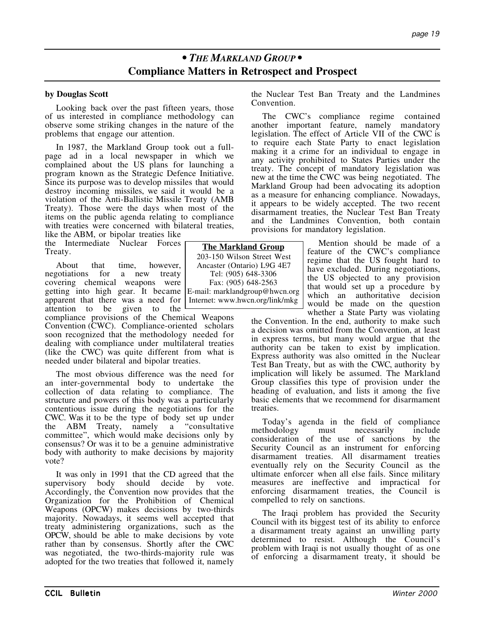# *• THE MARKLAND GROUP •* **Compliance Matters in Retrospect and Prospect**

## **by Douglas Scott**

Looking back over the past fifteen years, those of us interested in compliance methodology can observe some striking changes in the nature of the problems that engage our attention.

In 1987, the Markland Group took out a fullpage ad in a local newspaper in which we complained about the US plans for launching a program known as the Strategic Defence Initiative. Since its purpose was to develop missiles that would destroy incoming missiles, we said it would be a violation of the Anti-Ballistic Missile Treaty (AMB Treaty). Those were the days when most of the items on the public agenda relating to compliance with treaties were concerned with bilateral treaties,

like the ABM, or bipolar treaties like the Intermediate Nuclear Forces Treaty.

About that time, however,<br>negotiations for a new treaty for a new treaty covering chemical weapons were getting into high gear. It became apparent that there was a need for attention to be given to the

compliance provisions of the Chemical Weapons Convention (CWC). Compliance-oriented scholars soon recognized that the methodology needed for dealing with compliance under multilateral treaties (like the CWC) was quite different from what is needed under bilateral and bipolar treaties.

The most obvious difference was the need for an inter-governmental body to undertake the collection of data relating to compliance. The structure and powers of this body was a particularly contentious issue during the negotiations for the CWC. Was it to be the type of body set up under the ABM Treaty, namely a "consultative committee", which would make decisions only by consensus? Or was it to be a genuine administrative body with authority to make decisions by majority vote?

It was only in 1991 that the CD agreed that the supervisory body should decide by vote. Accordingly, the Convention now provides that the Organization for the Prohibition of Chemical Weapons (OPCW) makes decisions by two-thirds majority. Nowadays, it seems well accepted that treaty administering organizations, such as the OPCW, should be able to make decisions by vote rather than by consensus. Shortly after the CWC was negotiated, the two-thirds-majority rule was adopted for the two treaties that followed it, namely the Nuclear Test Ban Treaty and the Landmines Convention.

The CWC's compliance regime contained another important feature, namely mandatory legislation. The effect of Article VII of the CWC is to require each State Party to enact legislation making it a crime for an individual to engage in any activity prohibited to States Parties under the treaty. The concept of mandatory legislation was new at the time the CWC was being negotiated. The Markland Group had been advocating its adoption as a measure for enhancing compliance. Nowadays, it appears to be widely accepted. The two recent disarmament treaties, the Nuclear Test Ban Treaty and the Landmines Convention, both contain provisions for mandatory legislation.

> Mention should be made of a feature of the CWC's compliance regime that the US fought hard to have excluded. During negotiations, the US objected to any provision that would set up a procedure by which an authoritative decision would be made on the question whether a State Party was violating

the Convention. In the end, authority to make such a decision was omitted from the Convention, at least in express terms, but many would argue that the authority can be taken to exist by implication. Express authority was also omitted in the Nuclear Test Ban Treaty, but as with the CWC, authority by implication will likely be assumed. The Markland Group classifies this type of provision under the heading of evaluation, and lists it among the five basic elements that we recommend for disarmament treaties.

Today's agenda in the field of compliance methodology must necessarily include consideration of the use of sanctions by the Security Council as an instrument for enforcing disarmament treaties. All disarmament treaties eventually rely on the Security Council as the ultimate enforcer when all else fails. Since military measures are ineffective and impractical for enforcing disarmament treaties, the Council is compelled to rely on sanctions.

The Iraqi problem has provided the Security Council with its biggest test of its ability to enforce a disarmament treaty against an unwilling party determined to resist. Although the Council's problem with Iraqi is not usually thought of as one of enforcing a disarmament treaty, it should be

**The Markland Group** 203-150 Wilson Street West Ancaster (Ontario) L9G 4E7 Tel: (905) 648-3306 Fax: (905) 648-2563 E-mail: marklandgroup@hwcn.org Internet: www.hwcn.org/link/mkg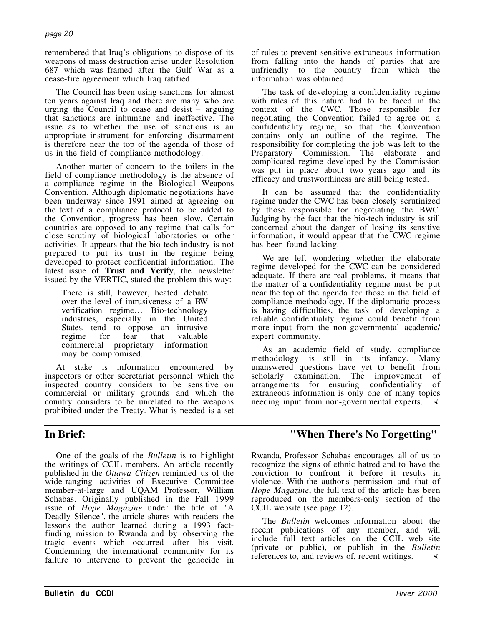remembered that Iraq's obligations to dispose of its weapons of mass destruction arise under Resolution 687 which was framed after the Gulf War as a cease-fire agreement which Iraq ratified.

The Council has been using sanctions for almost ten years against Iraq and there are many who are urging the Council to cease and desist – arguing that sanctions are inhumane and ineffective. The issue as to whether the use of sanctions is an appropriate instrument for enforcing disarmament is therefore near the top of the agenda of those of us in the field of compliance methodology.

Another matter of concern to the toilers in the field of compliance methodology is the absence of a compliance regime in the Biological Weapons Convention. Although diplomatic negotiations have been underway since 1991 aimed at agreeing on the text of a compliance protocol to be added to the Convention, progress has been slow. Certain countries are opposed to any regime that calls for close scrutiny of biological laboratories or other activities. It appears that the bio-tech industry is not prepared to put its trust in the regime being developed to protect confidential information. The latest issue of **Trust and Verify**, the newsletter issued by the VERTIC, stated the problem this way:

There is still, however, heated debate over the level of intrusiveness of a BW verification regime… Bio-technology industries, especially in the United States, tend to oppose an intrusive regime for fear that valuable commercial proprietary information may be compromised.

At stake is information encountered by inspectors or other secretariat personnel which the inspected country considers to be sensitive on commercial or military grounds and which the country considers to be unrelated to the weapons prohibited under the Treaty. What is needed is a set

One of the goals of the *Bulletin* is to highlight the writings of CCIL members. An article recently published in the *Ottawa Citizen* reminded us of the wide-ranging activities of Executive Committee member-at-large and UQAM Professor, William Schabas. Originally published in the Fall 1999 issue of *Hope Magazine* under the title of "A Deadly Silence", the article shares with readers the lessons the author learned during a 1993 factfinding mission to Rwanda and by observing the tragic events which occurred after his visit. Condemning the international community for its failure to intervene to prevent the genocide in of rules to prevent sensitive extraneous information from falling into the hands of parties that are unfriendly to the country from which the information was obtained.

The task of developing a confidentiality regime with rules of this nature had to be faced in the context of the CWC. Those responsible for negotiating the Convention failed to agree on a confidentiality regime, so that the Convention contains only an outline of the regime. The responsibility for completing the job was left to the Preparatory Commission. The elaborate and complicated regime developed by the Commission was put in place about two years ago and its efficacy and trustworthiness are still being tested.

It can be assumed that the confidentiality regime under the CWC has been closely scrutinized by those responsible for negotiating the BWC. Judging by the fact that the bio-tech industry is still concerned about the danger of losing its sensitive information, it would appear that the CWC regime has been found lacking.

We are left wondering whether the elaborate regime developed for the CWC can be considered adequate. If there are real problems, it means that the matter of a confidentiality regime must be put near the top of the agenda for those in the field of compliance methodology. If the diplomatic process is having difficulties, the task of developing a reliable confidentiality regime could benefit from more input from the non-governmental academic/ expert community.

As an academic field of study, compliance methodology is still in its infancy. Many unanswered questions have yet to benefit from scholarly examination. The improvement of arrangements for ensuring confidentiality of extraneous information is only one of many topics needing input from non-governmental experts.

# **In Brief: "When There's No Forgetting"**

Rwanda, Professor Schabas encourages all of us to recognize the signs of ethnic hatred and to have the conviction to confront it before it results in violence. With the author's permission and that of *Hope Magazine*, the full text of the article has been reproduced on the members-only section of the CCIL website (see page 12).

The *Bulletin* welcomes information about the recent publications of any member, and will include full text articles on the CCIL web site (private or public), or publish in the *Bulletin* references to, and reviews of, recent writings.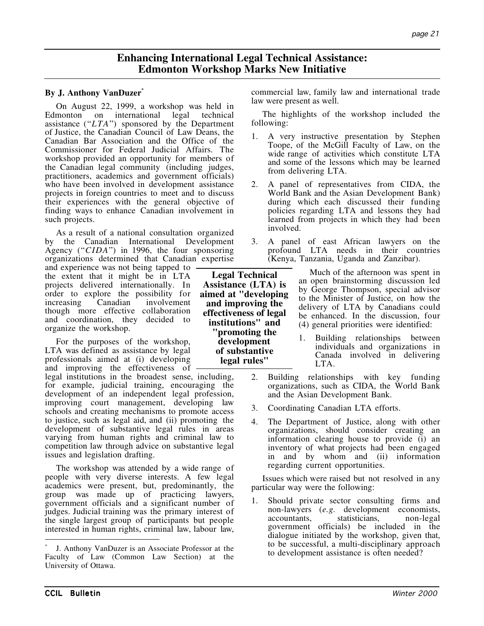# **Enhancing International Legal Technical Assistance: Edmonton Workshop Marks New Initiative**

## **By J. Anthony VanDuzer\***

On August 22, 1999, a workshop was held in Edmonton on international legal technical assistance ("*LTA*") sponsored by the Department of Justice, the Canadian Council of Law Deans, the Canadian Bar Association and the Office of the Commissioner for Federal Judicial Affairs. The workshop provided an opportunity for members of the Canadian legal community (including judges, practitioners, academics and government officials) who have been involved in development assistance projects in foreign countries to meet and to discuss their experiences with the general objective of finding ways to enhance Canadian involvement in such projects.

As a result of a national consultation organized by the Canadian International Development Agency ("*CIDA*") in 1996, the four sponsoring organizations determined that Canadian expertise

and experience was not being tapped to the extent that it might be in LTA projects delivered internationally. In order to explore the possibility for increasing Canadian involvement though more effective collaboration and coordination, they decided to organize the workshop.

For the purposes of the workshop, LTA was defined as assistance by legal professionals aimed at (i) developing and improving the effectiveness of

legal institutions in the broadest sense, including, for example, judicial training, encouraging the development of an independent legal profession, improving court management, developing law schools and creating mechanisms to promote access to justice, such as legal aid, and (ii) promoting the development of substantive legal rules in areas varying from human rights and criminal law to competition law through advice on substantive legal issues and legislation drafting.

The workshop was attended by a wide range of people with very diverse interests. A few legal academics were present, but, predominantly, the group was made up of practicing lawyers, government officials and a significant number of judges. Judicial training was the primary interest of the single largest group of participants but people interested in human rights, criminal law, labour law,

commercial law, family law and international trade law were present as well.

The highlights of the workshop included the following:

- 1. A very instructive presentation by Stephen Toope, of the McGill Faculty of Law, on the wide range of activities which constitute LTA and some of the lessons which may be learned from delivering LTA.
- 2. A panel of representatives from CIDA, the World Bank and the Asian Development Bank) during which each discussed their funding policies regarding LTA and lessons they had learned from projects in which they had been involved.
- 3. A panel of east African lawyers on the profound LTA needs in their countries (Kenya, Tanzania, Uganda and Zanzibar).

Much of the afternoon was spent in an open brainstorming discussion led by George Thompson, special advisor to the Minister of Justice, on how the delivery of LTA by Canadians could be enhanced. In the discussion, four (4) general priorities were identified:

- 1. Building relationships between individuals and organizations in Canada involved in delivering LTA.
- 2. Building relationships with key funding organizations, such as CIDA, the World Bank and the Asian Development Bank.
- 3. Coordinating Canadian LTA efforts.
- 4. The Department of Justice, along with other organizations, should consider creating an information clearing house to provide (i) an inventory of what projects had been engaged in and by whom and (ii) information regarding current opportunities.

Issues which were raised but not resolved in any particular way were the following:

1. Should private sector consulting firms and non-lawyers (*e.g.* development economists, accountants, statisticians, non-legal government officials) be included in the dialogue initiated by the workshop, given that, to be successful, a multi-disciplinary approach to development assistance is often needed?

 $\overline{a}$ 

**Legal Technical Assistance (LTA) is aimed at "developing and improving the effectiveness of legal institutions" and "promoting the development of substantive legal rules"**

J. Anthony VanDuzer is an Associate Professor at the Faculty of Law (Common Law Section) at the University of Ottawa.